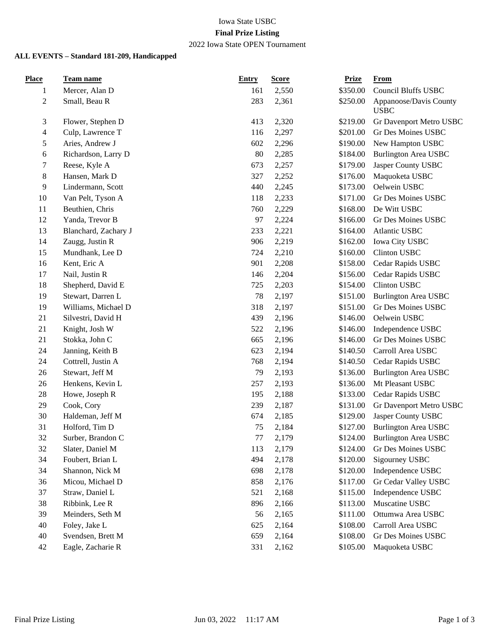# Iowa State USBC **Final Prize Listing**

## 2022 Iowa State OPEN Tournament

#### **ALL EVENTS – Standard 181-209, Handicapped**

| <b>Place</b>   | Team name            | <b>Entry</b> | <b>Score</b> | <b>Prize</b> | <b>From</b>                           |
|----------------|----------------------|--------------|--------------|--------------|---------------------------------------|
| 1              | Mercer, Alan D       | 161          | 2,550        | \$350.00     | <b>Council Bluffs USBC</b>            |
| $\overline{c}$ | Small, Beau R        | 283          | 2,361        | \$250.00     | Appanoose/Davis County<br><b>USBC</b> |
| 3              | Flower, Stephen D    | 413          | 2,320        | \$219.00     | Gr Davenport Metro USBC               |
| 4              | Culp, Lawrence T     | 116          | 2,297        | \$201.00     | Gr Des Moines USBC                    |
| 5              | Aries, Andrew J      | 602          | 2,296        | \$190.00     | New Hampton USBC                      |
| 6              | Richardson, Larry D  | 80           | 2,285        | \$184.00     | <b>Burlington Area USBC</b>           |
| 7              | Reese, Kyle A        | 673          | 2,257        | \$179.00     | Jasper County USBC                    |
| 8              | Hansen, Mark D       | 327          | 2,252        | \$176.00     | Maquoketa USBC                        |
| 9              | Lindermann, Scott    | 440          | 2,245        | \$173.00     | Oelwein USBC                          |
| 10             | Van Pelt, Tyson A    | 118          | 2,233        | \$171.00     | Gr Des Moines USBC                    |
| 11             | Beuthien, Chris      | 760          | 2,229        | \$168.00     | De Witt USBC                          |
| 12             | Yanda, Trevor B      | 97           | 2,224        | \$166.00     | Gr Des Moines USBC                    |
| 13             | Blanchard, Zachary J | 233          | 2,221        | \$164.00     | Atlantic USBC                         |
| 14             | Zaugg, Justin R      | 906          | 2,219        | \$162.00     | Iowa City USBC                        |
| 15             | Mundhank, Lee D      | 724          | 2,210        | \$160.00     | <b>Clinton USBC</b>                   |
| 16             | Kent, Eric A         | 901          | 2,208        | \$158.00     | Cedar Rapids USBC                     |
| 17             | Nail, Justin R       | 146          | 2,204        | \$156.00     | Cedar Rapids USBC                     |
| 18             | Shepherd, David E    | 725          | 2,203        | \$154.00     | <b>Clinton USBC</b>                   |
| 19             | Stewart, Darren L    | 78           | 2,197        | \$151.00     | <b>Burlington Area USBC</b>           |
| 19             | Williams, Michael D  | 318          | 2,197        | \$151.00     | Gr Des Moines USBC                    |
| 21             | Silvestri, David H   | 439          | 2,196        | \$146.00     | Oelwein USBC                          |
| 21             | Knight, Josh W       | 522          | 2,196        | \$146.00     | Independence USBC                     |
| 21             | Stokka, John C       | 665          | 2,196        | \$146.00     | Gr Des Moines USBC                    |
| 24             | Janning, Keith B     | 623          | 2,194        | \$140.50     | Carroll Area USBC                     |
| 24             | Cottrell, Justin A   | 768          | 2,194        | \$140.50     | Cedar Rapids USBC                     |
| 26             | Stewart, Jeff M      | 79           | 2,193        | \$136.00     | <b>Burlington Area USBC</b>           |
| 26             | Henkens, Kevin L     | 257          | 2,193        | \$136.00     | Mt Pleasant USBC                      |
| 28             | Howe, Joseph R       | 195          | 2,188        | \$133.00     | Cedar Rapids USBC                     |
| 29             | Cook, Cory           | 239          | 2,187        | \$131.00     | Gr Davenport Metro USBC               |
| 30             | Haldeman, Jeff M     | 674          | 2,185        | \$129.00     | Jasper County USBC                    |
| 31             | Holford, Tim D       | 75           | 2,184        | \$127.00     | <b>Burlington Area USBC</b>           |
| 32             | Surber, Brandon C    | 77           | 2,179        |              | \$124.00 Burlington Area USBC         |
| 32             | Slater, Daniel M     | 113          | 2,179        | \$124.00     | Gr Des Moines USBC                    |
| 34             | Foubert, Brian L     | 494          | 2,178        | \$120.00     | Sigourney USBC                        |
| 34             | Shannon, Nick M      | 698          | 2,178        | \$120.00     | Independence USBC                     |
| 36             | Micou, Michael D     | 858          | 2,176        | \$117.00     | Gr Cedar Valley USBC                  |
| 37             | Straw, Daniel L      | 521          | 2,168        | \$115.00     | Independence USBC                     |
| 38             | Ribbink, Lee R       | 896          | 2,166        | \$113.00     | Muscatine USBC                        |
| 39             | Meinders, Seth M     | 56           | 2,165        | \$111.00     | Ottumwa Area USBC                     |
| 40             | Foley, Jake L        | 625          | 2,164        | \$108.00     | Carroll Area USBC                     |
| 40             | Svendsen, Brett M    | 659          | 2,164        | \$108.00     | Gr Des Moines USBC                    |
| 42             | Eagle, Zacharie R    | 331          | 2,162        | \$105.00     | Maquoketa USBC                        |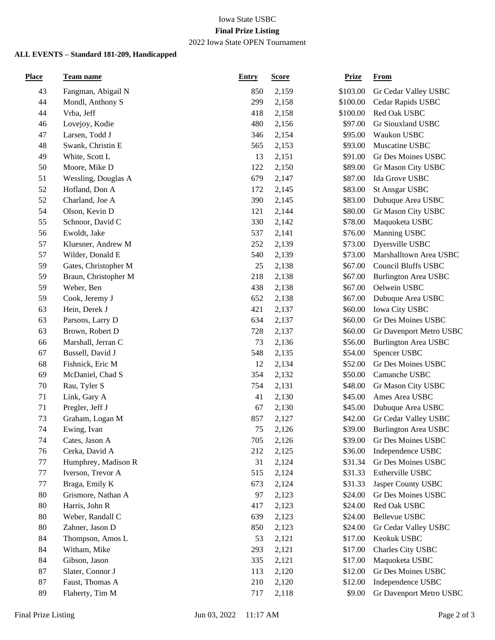### Iowa State USBC **Final Prize Listing**

### 2022 Iowa State OPEN Tournament

### **ALL EVENTS – Standard 181-209, Handicapped**

| <b>Place</b> | Team name            | <b>Entry</b> | <b>Score</b> | <b>Prize</b> | <b>From</b>                 |
|--------------|----------------------|--------------|--------------|--------------|-----------------------------|
| 43           | Fangman, Abigail N   | 850          | 2,159        | \$103.00     | Gr Cedar Valley USBC        |
| 44           | Mondl, Anthony S     | 299          | 2,158        | \$100.00     | Cedar Rapids USBC           |
| 44           | Vrba, Jeff           | 418          | 2,158        | \$100.00     | Red Oak USBC                |
| 46           | Lovejoy, Kodie       | 480          | 2,156        | \$97.00      | Gr Siouxland USBC           |
| 47           | Larsen, Todd J       | 346          | 2,154        | \$95.00      | Waukon USBC                 |
| 48           | Swank, Christin E    | 565          | 2,153        | \$93.00      | Muscatine USBC              |
| 49           | White, Scott L       | 13           | 2,151        | \$91.00      | Gr Des Moines USBC          |
| 50           | Moore, Mike D        | 122          | 2,150        | \$89.00      | Gr Mason City USBC          |
| 51           | Wessling, Douglas A  | 679          | 2,147        | \$87.00      | Ida Grove USBC              |
| 52           | Hofland, Don A       | 172          | 2,145        | \$83.00      | <b>St Ansgar USBC</b>       |
| 52           | Charland, Joe A      | 390          | 2,145        | \$83.00      | Dubuque Area USBC           |
| 54           | Olson, Kevin D       | 121          | 2,144        | \$80.00      | Gr Mason City USBC          |
| 55           | Schnoor, David C     | 330          | 2,142        | \$78.00      | Maquoketa USBC              |
| 56           | Ewoldt, Jake         | 537          | 2,141        | \$76.00      | Manning USBC                |
| 57           | Kluesner, Andrew M   | 252          | 2,139        | \$73.00      | Dyersville USBC             |
| 57           | Wilder, Donald E     | 540          | 2,139        | \$73.00      | Marshalltown Area USBC      |
| 59           | Gates, Christopher M | 25           | 2,138        | \$67.00      | <b>Council Bluffs USBC</b>  |
| 59           | Braun, Christopher M | 218          | 2,138        | \$67.00      | <b>Burlington Area USBC</b> |
| 59           | Weber, Ben           | 438          | 2,138        | \$67.00      | Oelwein USBC                |
| 59           | Cook, Jeremy J       | 652          | 2,138        | \$67.00      | Dubuque Area USBC           |
| 63           | Hein, Derek J        | 421          | 2,137        | \$60.00      | Iowa City USBC              |
| 63           | Parsons, Larry D     | 634          | 2,137        | \$60.00      | Gr Des Moines USBC          |
| 63           | Brown, Robert D      | 728          | 2,137        | \$60.00      | Gr Davenport Metro USBC     |
| 66           | Marshall, Jerran C   | 73           | 2,136        | \$56.00      | <b>Burlington Area USBC</b> |
| 67           | Bussell, David J     | 548          | 2,135        | \$54.00      | Spencer USBC                |
| 68           | Fishnick, Eric M     | 12           | 2,134        | \$52.00      | Gr Des Moines USBC          |
| 69           | McDaniel, Chad S     | 354          | 2,132        | \$50.00      | Camanche USBC               |
| 70           | Rau, Tyler S         | 754          | 2,131        | \$48.00      | Gr Mason City USBC          |
| 71           | Link, Gary A         | 41           | 2,130        | \$45.00      | Ames Area USBC              |
| 71           | Pregler, Jeff J      | 67           | 2,130        | \$45.00      | Dubuque Area USBC           |
| 73           | Graham, Logan M      | 857          | 2,127        | \$42.00      | Gr Cedar Valley USBC        |
| 74           | Ewing, Ivan          | 75           | 2,126        | \$39.00      | <b>Burlington Area USBC</b> |
| 74           | Cates, Jason A       | 705          | 2,126        | \$39.00      | Gr Des Moines USBC          |
| 76           | Cerka, David A       | 212          | 2,125        | \$36.00      | Independence USBC           |
| 77           | Humphrey, Madison R  | 31           | 2,124        | \$31.34      | Gr Des Moines USBC          |
| 77           | Iverson, Trevor A    | 515          | 2,124        | \$31.33      | Estherville USBC            |
| 77           | Braga, Emily K       | 673          | 2,124        | \$31.33      | Jasper County USBC          |
| 80           | Grismore, Nathan A   | 97           | 2,123        | \$24.00      | Gr Des Moines USBC          |
| 80           | Harris, John R       | 417          | 2,123        | \$24.00      | Red Oak USBC                |
| 80           | Weber, Randall C     | 639          | 2,123        | \$24.00      | <b>Bellevue USBC</b>        |
| 80           | Zahner, Jason D      | 850          | 2,123        | \$24.00      | Gr Cedar Valley USBC        |
| 84           | Thompson, Amos L     | 53           | 2,121        | \$17.00      | Keokuk USBC                 |
| 84           | Witham, Mike         | 293          | 2,121        | \$17.00      | Charles City USBC           |
| 84           | Gibson, Jason        | 335          | 2,121        | \$17.00      | Maquoketa USBC              |
| 87           | Slater, Connor J     | 113          | 2,120        | \$12.00      | Gr Des Moines USBC          |
| 87           | Faust, Thomas A      | 210          | 2,120        | \$12.00      | Independence USBC           |
| 89           | Flaherty, Tim M      | 717          | 2,118        | \$9.00       | Gr Davenport Metro USBC     |
|              |                      |              |              |              |                             |